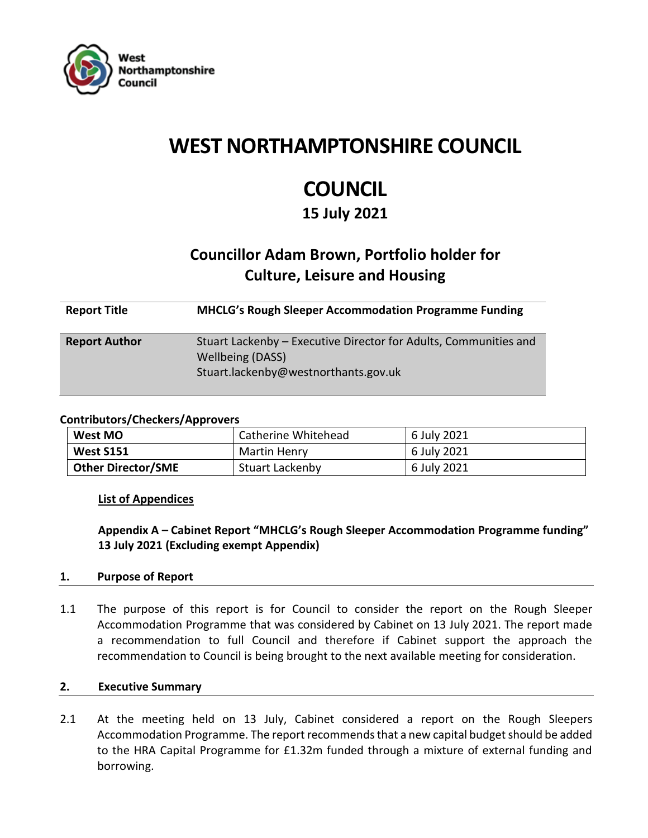

# **WEST NORTHAMPTONSHIRE COUNCIL**

# **COUNCIL**

# **15 July 2021**

# **Councillor Adam Brown, Portfolio holder for Culture, Leisure and Housing**

| <b>Report Title</b>  | <b>MHCLG's Rough Sleeper Accommodation Programme Funding</b>                                                                        |
|----------------------|-------------------------------------------------------------------------------------------------------------------------------------|
| <b>Report Author</b> | Stuart Lackenby – Executive Director for Adults, Communities and<br><b>Wellbeing (DASS)</b><br>Stuart.lackenby@westnorthants.gov.uk |

#### **Contributors/Checkers/Approvers**

| <b>West MO</b>            | Catherine Whitehead | 6 July 2021 |
|---------------------------|---------------------|-------------|
| <b>West S151</b>          | Martin Henry        | 6 July 2021 |
| <b>Other Director/SME</b> | Stuart Lackenby     | 6 July 2021 |

#### **List of Appendices**

**Appendix A – Cabinet Report "MHCLG's Rough Sleeper Accommodation Programme funding" 13 July 2021 (Excluding exempt Appendix)**

#### **1. Purpose of Report**

1.1 The purpose of this report is for Council to consider the report on the Rough Sleeper Accommodation Programme that was considered by Cabinet on 13 July 2021. The report made a recommendation to full Council and therefore if Cabinet support the approach the recommendation to Council is being brought to the next available meeting for consideration.

#### **2. Executive Summary**

2.1 At the meeting held on 13 July, Cabinet considered a report on the Rough Sleepers Accommodation Programme. The report recommends that a new capital budget should be added to the HRA Capital Programme for £1.32m funded through a mixture of external funding and borrowing.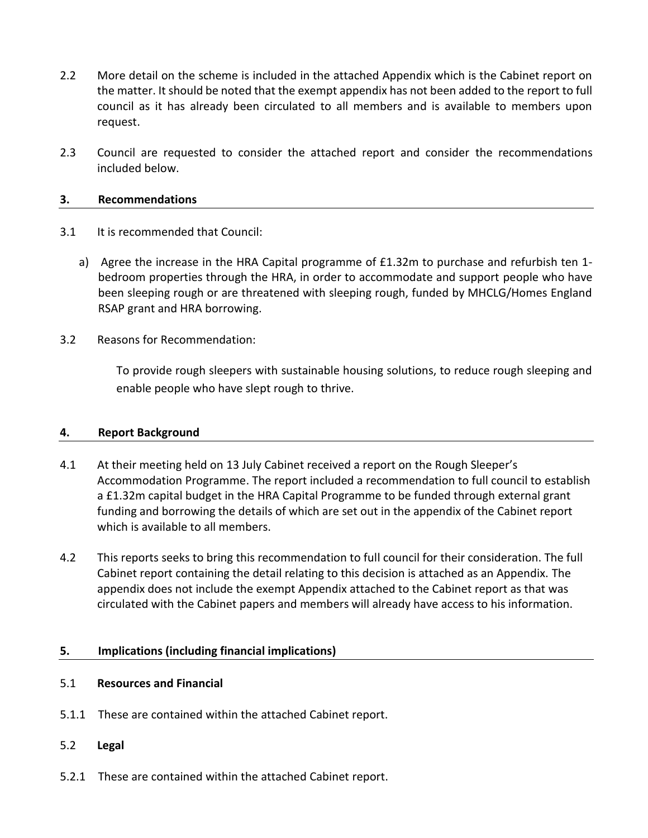- 2.2 More detail on the scheme is included in the attached Appendix which is the Cabinet report on the matter. It should be noted that the exempt appendix has not been added to the report to full council as it has already been circulated to all members and is available to members upon request.
- 2.3 Council are requested to consider the attached report and consider the recommendations included below.

#### **3. Recommendations**

- 3.1 It is recommended that Council:
	- a) Agree the increase in the HRA Capital programme of £1.32m to purchase and refurbish ten 1bedroom properties through the HRA, in order to accommodate and support people who have been sleeping rough or are threatened with sleeping rough, funded by MHCLG/Homes England RSAP grant and HRA borrowing.
- 3.2 Reasons for Recommendation:

To provide rough sleepers with sustainable housing solutions, to reduce rough sleeping and enable people who have slept rough to thrive.

#### **4. Report Background**

- 4.1 At their meeting held on 13 July Cabinet received a report on the Rough Sleeper's Accommodation Programme. The report included a recommendation to full council to establish a £1.32m capital budget in the HRA Capital Programme to be funded through external grant funding and borrowing the details of which are set out in the appendix of the Cabinet report which is available to all members.
- 4.2 This reports seeks to bring this recommendation to full council for their consideration. The full Cabinet report containing the detail relating to this decision is attached as an Appendix. The appendix does not include the exempt Appendix attached to the Cabinet report as that was circulated with the Cabinet papers and members will already have access to his information.

#### **5. Implications (including financial implications)**

#### 5.1 **Resources and Financial**

- 5.1.1 These are contained within the attached Cabinet report.
- 5.2 **Legal**
- 5.2.1 These are contained within the attached Cabinet report.